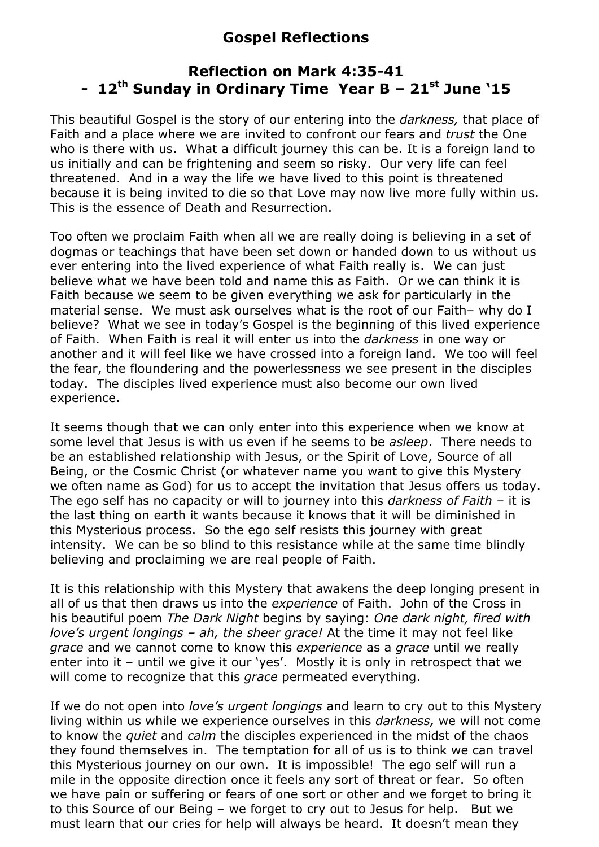## **Gospel Reflections**

## **Reflection on Mark 4:35-41 - 12th Sunday in Ordinary Time Year B – 21st June '15**

This beautiful Gospel is the story of our entering into the *darkness,* that place of Faith and a place where we are invited to confront our fears and *trust* the One who is there with us. What a difficult journey this can be. It is a foreign land to us initially and can be frightening and seem so risky. Our very life can feel threatened. And in a way the life we have lived to this point is threatened because it is being invited to die so that Love may now live more fully within us. This is the essence of Death and Resurrection.

Too often we proclaim Faith when all we are really doing is believing in a set of dogmas or teachings that have been set down or handed down to us without us ever entering into the lived experience of what Faith really is. We can just believe what we have been told and name this as Faith. Or we can think it is Faith because we seem to be given everything we ask for particularly in the material sense. We must ask ourselves what is the root of our Faith– why do I believe? What we see in today's Gospel is the beginning of this lived experience of Faith. When Faith is real it will enter us into the *darkness* in one way or another and it will feel like we have crossed into a foreign land. We too will feel the fear, the floundering and the powerlessness we see present in the disciples today. The disciples lived experience must also become our own lived experience.

It seems though that we can only enter into this experience when we know at some level that Jesus is with us even if he seems to be *asleep*. There needs to be an established relationship with Jesus, or the Spirit of Love, Source of all Being, or the Cosmic Christ (or whatever name you want to give this Mystery we often name as God) for us to accept the invitation that Jesus offers us today. The ego self has no capacity or will to journey into this *darkness of Faith –* it is the last thing on earth it wants because it knows that it will be diminished in this Mysterious process. So the ego self resists this journey with great intensity. We can be so blind to this resistance while at the same time blindly believing and proclaiming we are real people of Faith.

It is this relationship with this Mystery that awakens the deep longing present in all of us that then draws us into the *experience* of Faith. John of the Cross in his beautiful poem *The Dark Night* begins by saying: *One dark night, fired with love's urgent longings – ah, the sheer grace!* At the time it may not feel like *grace* and we cannot come to know this *experience* as a *grace* until we really enter into it – until we give it our 'yes'. Mostly it is only in retrospect that we will come to recognize that this *grace* permeated everything.

If we do not open into *love's urgent longings* and learn to cry out to this Mystery living within us while we experience ourselves in this *darkness,* we will not come to know the *quiet* and *calm* the disciples experienced in the midst of the chaos they found themselves in. The temptation for all of us is to think we can travel this Mysterious journey on our own. It is impossible! The ego self will run a mile in the opposite direction once it feels any sort of threat or fear. So often we have pain or suffering or fears of one sort or other and we forget to bring it to this Source of our Being – we forget to cry out to Jesus for help. But we must learn that our cries for help will always be heard. It doesn't mean they